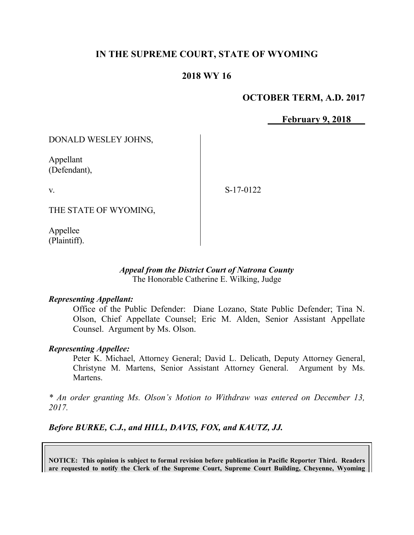# **IN THE SUPREME COURT, STATE OF WYOMING**

# **2018 WY 16**

## **OCTOBER TERM, A.D. 2017**

**February 9, 2018**

DONALD WESLEY JOHNS,

Appellant (Defendant),

v.

S-17-0122

THE STATE OF WYOMING,

Appellee (Plaintiff).

#### *Appeal from the District Court of Natrona County* The Honorable Catherine E. Wilking, Judge

#### *Representing Appellant:*

Office of the Public Defender: Diane Lozano, State Public Defender; Tina N. Olson, Chief Appellate Counsel; Eric M. Alden, Senior Assistant Appellate Counsel. Argument by Ms. Olson.

### *Representing Appellee:*

Peter K. Michael, Attorney General; David L. Delicath, Deputy Attorney General, Christyne M. Martens, Senior Assistant Attorney General. Argument by Ms. Martens.

*\* An order granting Ms. Olson's Motion to Withdraw was entered on December 13, 2017.*

*Before BURKE, C.J., and HILL, DAVIS, FOX, and KAUTZ, JJ.*

**NOTICE: This opinion is subject to formal revision before publication in Pacific Reporter Third. Readers are requested to notify the Clerk of the Supreme Court, Supreme Court Building, Cheyenne, Wyoming**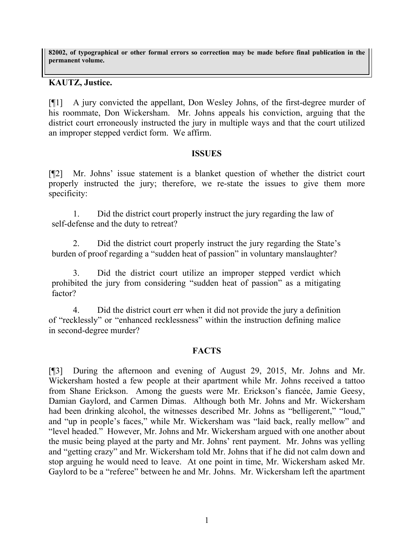**82002, of typographical or other formal errors so correction may be made before final publication in the permanent volume.**

## **KAUTZ, Justice.**

[¶1] A jury convicted the appellant, Don Wesley Johns, of the first-degree murder of his roommate, Don Wickersham. Mr. Johns appeals his conviction, arguing that the district court erroneously instructed the jury in multiple ways and that the court utilized an improper stepped verdict form. We affirm.

### **ISSUES**

[¶2] Mr. Johns' issue statement is a blanket question of whether the district court properly instructed the jury; therefore, we re-state the issues to give them more specificity:

1. Did the district court properly instruct the jury regarding the law of self-defense and the duty to retreat?

2. Did the district court properly instruct the jury regarding the State's burden of proof regarding a "sudden heat of passion" in voluntary manslaughter?

3. Did the district court utilize an improper stepped verdict which prohibited the jury from considering "sudden heat of passion" as a mitigating factor?

4. Did the district court err when it did not provide the jury a definition of "recklessly" or "enhanced recklessness" within the instruction defining malice in second-degree murder?

### **FACTS**

[¶3] During the afternoon and evening of August 29, 2015, Mr. Johns and Mr. Wickersham hosted a few people at their apartment while Mr. Johns received a tattoo from Shane Erickson. Among the guests were Mr. Erickson's fiancée, Jamie Geesy, Damian Gaylord, and Carmen Dimas. Although both Mr. Johns and Mr. Wickersham had been drinking alcohol, the witnesses described Mr. Johns as "belligerent," "loud," and "up in people's faces," while Mr. Wickersham was "laid back, really mellow" and "level headed." However, Mr. Johns and Mr. Wickersham argued with one another about the music being played at the party and Mr. Johns' rent payment. Mr. Johns was yelling and "getting crazy" and Mr. Wickersham told Mr. Johns that if he did not calm down and stop arguing he would need to leave. At one point in time, Mr. Wickersham asked Mr. Gaylord to be a "referee" between he and Mr. Johns. Mr. Wickersham left the apartment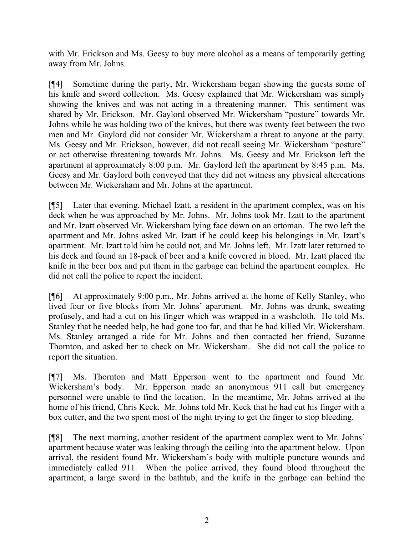with Mr. Erickson and Ms. Geesy to buy more alcohol as a means of temporarily getting away from Mr. Johns.

[¶4] Sometime during the party, Mr. Wickersham began showing the guests some of his knife and sword collection. Ms. Geesy explained that Mr. Wickersham was simply showing the knives and was not acting in a threatening manner. This sentiment was shared by Mr. Erickson. Mr. Gaylord observed Mr. Wickersham "posture" towards Mr. Johns while he was holding two of the knives, but there was twenty feet between the two men and Mr. Gaylord did not consider Mr. Wickersham a threat to anyone at the party. Ms. Geesy and Mr. Erickson, however, did not recall seeing Mr. Wickersham "posture" or act otherwise threatening towards Mr. Johns. Ms. Geesy and Mr. Erickson left the apartment at approximately 8:00 p.m. Mr. Gaylord left the apartment by 8:45 p.m. Ms. Geesy and Mr. Gaylord both conveyed that they did not witness any physical altercations between Mr. Wickersham and Mr. Johns at the apartment.

[¶5] Later that evening, Michael Izatt, a resident in the apartment complex, was on his deck when he was approached by Mr. Johns. Mr. Johns took Mr. Izatt to the apartment and Mr. Izatt observed Mr. Wickersham lying face down on an ottoman. The two left the apartment and Mr. Johns asked Mr. Izatt if he could keep his belongings in Mr. Izatt's apartment. Mr. Izatt told him he could not, and Mr. Johns left. Mr. Izatt later returned to his deck and found an 18-pack of beer and a knife covered in blood. Mr. Izatt placed the knife in the beer box and put them in the garbage can behind the apartment complex. He did not call the police to report the incident.

[¶6] At approximately 9:00 p.m., Mr. Johns arrived at the home of Kelly Stanley, who lived four or five blocks from Mr. Johns' apartment. Mr. Johns was drunk, sweating profusely, and had a cut on his finger which was wrapped in a washcloth. He told Ms. Stanley that he needed help, he had gone too far, and that he had killed Mr. Wickersham. Ms. Stanley arranged a ride for Mr. Johns and then contacted her friend, Suzanne Thornton, and asked her to check on Mr. Wickersham. She did not call the police to report the situation.

[¶7] Ms. Thornton and Matt Epperson went to the apartment and found Mr. Wickersham's body. Mr. Epperson made an anonymous 911 call but emergency personnel were unable to find the location. In the meantime, Mr. Johns arrived at the home of his friend, Chris Keck. Mr. Johns told Mr. Keck that he had cut his finger with a box cutter, and the two spent most of the night trying to get the finger to stop bleeding.

[¶8] The next morning, another resident of the apartment complex went to Mr. Johns' apartment because water was leaking through the ceiling into the apartment below. Upon arrival, the resident found Mr. Wickersham's body with multiple puncture wounds and immediately called 911. When the police arrived, they found blood throughout the apartment, a large sword in the bathtub, and the knife in the garbage can behind the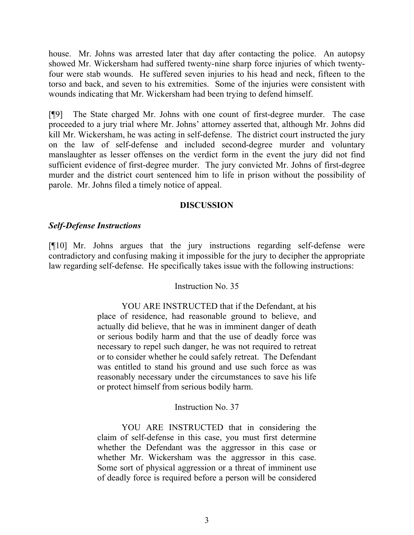house. Mr. Johns was arrested later that day after contacting the police. An autopsy showed Mr. Wickersham had suffered twenty-nine sharp force injuries of which twentyfour were stab wounds. He suffered seven injuries to his head and neck, fifteen to the torso and back, and seven to his extremities. Some of the injuries were consistent with wounds indicating that Mr. Wickersham had been trying to defend himself.

[¶9] The State charged Mr. Johns with one count of first-degree murder. The case proceeded to a jury trial where Mr. Johns' attorney asserted that, although Mr. Johns did kill Mr. Wickersham, he was acting in self-defense. The district court instructed the jury on the law of self-defense and included second-degree murder and voluntary manslaughter as lesser offenses on the verdict form in the event the jury did not find sufficient evidence of first-degree murder. The jury convicted Mr. Johns of first-degree murder and the district court sentenced him to life in prison without the possibility of parole. Mr. Johns filed a timely notice of appeal.

### **DISCUSSION**

### *Self-Defense Instructions*

[¶10] Mr. Johns argues that the jury instructions regarding self-defense were contradictory and confusing making it impossible for the jury to decipher the appropriate law regarding self-defense. He specifically takes issue with the following instructions:

### Instruction No. 35

YOU ARE INSTRUCTED that if the Defendant, at his place of residence, had reasonable ground to believe, and actually did believe, that he was in imminent danger of death or serious bodily harm and that the use of deadly force was necessary to repel such danger, he was not required to retreat or to consider whether he could safely retreat. The Defendant was entitled to stand his ground and use such force as was reasonably necessary under the circumstances to save his life or protect himself from serious bodily harm.

### Instruction No. 37

YOU ARE INSTRUCTED that in considering the claim of self-defense in this case, you must first determine whether the Defendant was the aggressor in this case or whether Mr. Wickersham was the aggressor in this case. Some sort of physical aggression or a threat of imminent use of deadly force is required before a person will be considered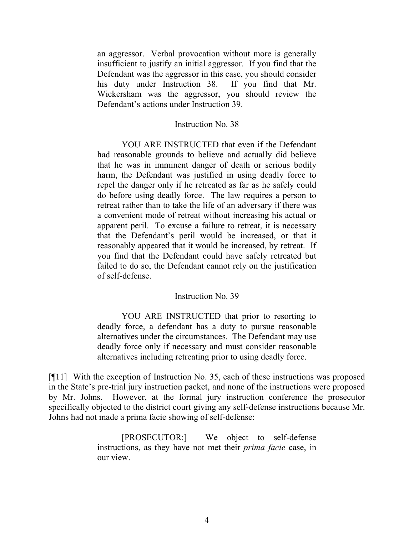an aggressor. Verbal provocation without more is generally insufficient to justify an initial aggressor. If you find that the Defendant was the aggressor in this case, you should consider his duty under Instruction 38. If you find that Mr. Wickersham was the aggressor, you should review the Defendant's actions under Instruction 39.

#### Instruction No. 38

YOU ARE INSTRUCTED that even if the Defendant had reasonable grounds to believe and actually did believe that he was in imminent danger of death or serious bodily harm, the Defendant was justified in using deadly force to repel the danger only if he retreated as far as he safely could do before using deadly force. The law requires a person to retreat rather than to take the life of an adversary if there was a convenient mode of retreat without increasing his actual or apparent peril. To excuse a failure to retreat, it is necessary that the Defendant's peril would be increased, or that it reasonably appeared that it would be increased, by retreat. If you find that the Defendant could have safely retreated but failed to do so, the Defendant cannot rely on the justification of self-defense.

#### Instruction No. 39

YOU ARE INSTRUCTED that prior to resorting to deadly force, a defendant has a duty to pursue reasonable alternatives under the circumstances. The Defendant may use deadly force only if necessary and must consider reasonable alternatives including retreating prior to using deadly force.

[¶11] With the exception of Instruction No. 35, each of these instructions was proposed in the State's pre-trial jury instruction packet, and none of the instructions were proposed by Mr. Johns. However, at the formal jury instruction conference the prosecutor specifically objected to the district court giving any self-defense instructions because Mr. Johns had not made a prima facie showing of self-defense:

> [PROSECUTOR:] We object to self-defense instructions, as they have not met their *prima facie* case, in our view.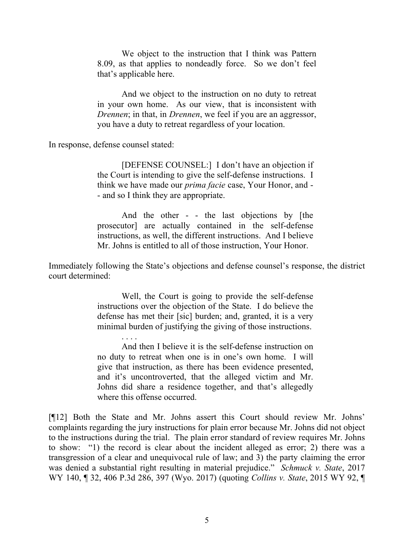We object to the instruction that I think was Pattern 8.09, as that applies to nondeadly force. So we don't feel that's applicable here.

And we object to the instruction on no duty to retreat in your own home. As our view, that is inconsistent with *Drennen*; in that, in *Drennen*, we feel if you are an aggressor, you have a duty to retreat regardless of your location.

In response, defense counsel stated:

. . . .

[DEFENSE COUNSEL:] I don't have an objection if the Court is intending to give the self-defense instructions. I think we have made our *prima facie* case, Your Honor, and - - and so I think they are appropriate.

And the other - - the last objections by [the prosecutor] are actually contained in the self-defense instructions, as well, the different instructions. And I believe Mr. Johns is entitled to all of those instruction, Your Honor.

Immediately following the State's objections and defense counsel's response, the district court determined:

> Well, the Court is going to provide the self-defense instructions over the objection of the State. I do believe the defense has met their [sic] burden; and, granted, it is a very minimal burden of justifying the giving of those instructions.

> And then I believe it is the self-defense instruction on no duty to retreat when one is in one's own home. I will give that instruction, as there has been evidence presented, and it's uncontroverted, that the alleged victim and Mr. Johns did share a residence together, and that's allegedly where this offense occurred.

[¶12] Both the State and Mr. Johns assert this Court should review Mr. Johns' complaints regarding the jury instructions for plain error because Mr. Johns did not object to the instructions during the trial. The plain error standard of review requires Mr. Johns to show: "1) the record is clear about the incident alleged as error; 2) there was a transgression of a clear and unequivocal rule of law; and 3) the party claiming the error was denied a substantial right resulting in material prejudice." *Schmuck v. State*, 2017 WY 140, ¶ 32, 406 P.3d 286, 397 (Wyo. 2017) (quoting *Collins v. State*, 2015 WY 92, ¶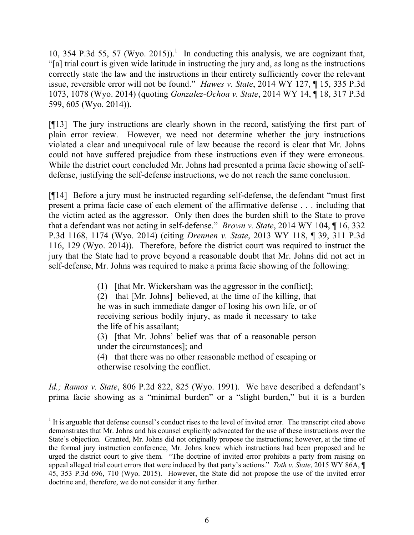10, 354 P.3d 55, 57 (Wyo. 2015)).<sup>1</sup> In conducting this analysis, we are cognizant that, "[a] trial court is given wide latitude in instructing the jury and, as long as the instructions correctly state the law and the instructions in their entirety sufficiently cover the relevant issue, reversible error will not be found." *Hawes v. State*, 2014 WY 127, ¶ 15, 335 P.3d 1073, 1078 (Wyo. 2014) (quoting *Gonzalez-Ochoa v. State*, 2014 WY 14, ¶ 18, 317 P.3d 599, 605 (Wyo. 2014)).

[¶13] The jury instructions are clearly shown in the record, satisfying the first part of plain error review. However, we need not determine whether the jury instructions violated a clear and unequivocal rule of law because the record is clear that Mr. Johns could not have suffered prejudice from these instructions even if they were erroneous. While the district court concluded Mr. Johns had presented a prima facie showing of selfdefense, justifying the self-defense instructions, we do not reach the same conclusion.

[¶14] Before a jury must be instructed regarding self-defense, the defendant "must first present a prima facie case of each element of the affirmative defense . . . including that the victim acted as the aggressor. Only then does the burden shift to the State to prove that a defendant was not acting in self-defense." *Brown v. State*, 2014 WY 104, ¶ 16, 332 P.3d 1168, 1174 (Wyo. 2014) (citing *Drennen v. State*, 2013 WY 118, ¶ 39, 311 P.3d 116, 129 (Wyo. 2014)). Therefore, before the district court was required to instruct the jury that the State had to prove beyond a reasonable doubt that Mr. Johns did not act in self-defense, Mr. Johns was required to make a prima facie showing of the following:

(1) [that Mr. Wickersham was the aggressor in the conflict];

(2) that [Mr. Johns] believed, at the time of the killing, that he was in such immediate danger of losing his own life, or of receiving serious bodily injury, as made it necessary to take the life of his assailant;

(3) [that Mr. Johns' belief was that of a reasonable person under the circumstances]; and

(4) that there was no other reasonable method of escaping or otherwise resolving the conflict.

*Id.; Ramos v. State*, 806 P.2d 822, 825 (Wyo. 1991). We have described a defendant's prima facie showing as a "minimal burden" or a "slight burden," but it is a burden

l

<sup>&</sup>lt;sup>1</sup> It is arguable that defense counsel's conduct rises to the level of invited error. The transcript cited above demonstrates that Mr. Johns and his counsel explicitly advocated for the use of these instructions over the State's objection. Granted, Mr. Johns did not originally propose the instructions; however, at the time of the formal jury instruction conference, Mr. Johns knew which instructions had been proposed and he urged the district court to give them. "The doctrine of invited error prohibits a party from raising on appeal alleged trial court errors that were induced by that party's actions." *Toth v. State*, 2015 WY 86A, ¶ 45, 353 P.3d 696, 710 (Wyo. 2015). However, the State did not propose the use of the invited error doctrine and, therefore, we do not consider it any further.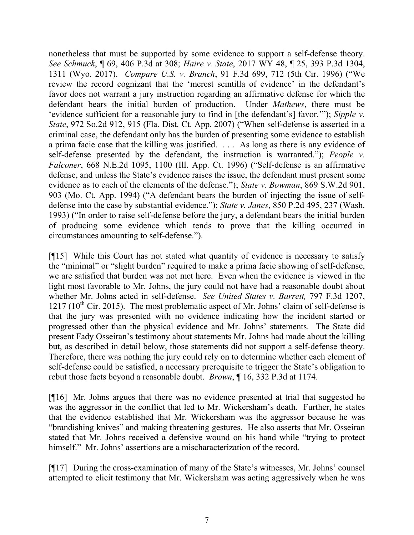nonetheless that must be supported by some evidence to support a self-defense theory. *See Schmuck*, ¶ 69, 406 P.3d at 308; *Haire v. State*, 2017 WY 48, ¶ 25, 393 P.3d 1304, 1311 (Wyo. 2017). *Compare U.S. v. Branch*, 91 F.3d 699, 712 (5th Cir. 1996) ("We review the record cognizant that the 'merest scintilla of evidence' in the defendant's favor does not warrant a jury instruction regarding an affirmative defense for which the defendant bears the initial burden of production. Under *Mathews*, there must be 'evidence sufficient for a reasonable jury to find in [the defendant's] favor.'"); *Sipple v. State*, 972 So.2d 912, 915 (Fla. Dist. Ct. App. 2007) ("When self-defense is asserted in a criminal case, the defendant only has the burden of presenting some evidence to establish a prima facie case that the killing was justified. . . . As long as there is any evidence of self-defense presented by the defendant, the instruction is warranted."); *People v. Falconer*, 668 N.E.2d 1095, 1100 (Ill. App. Ct. 1996) ("Self-defense is an affirmative defense, and unless the State's evidence raises the issue, the defendant must present some evidence as to each of the elements of the defense."); *State v. Bowman*, 869 S.W.2d 901, 903 (Mo. Ct. App. 1994) ("A defendant bears the burden of injecting the issue of selfdefense into the case by substantial evidence."); *State v. Janes*, 850 P.2d 495, 237 (Wash. 1993) ("In order to raise self-defense before the jury, a defendant bears the initial burden of producing some evidence which tends to prove that the killing occurred in circumstances amounting to self-defense.").

[¶15] While this Court has not stated what quantity of evidence is necessary to satisfy the "minimal" or "slight burden" required to make a prima facie showing of self-defense, we are satisfied that burden was not met here. Even when the evidence is viewed in the light most favorable to Mr. Johns, the jury could not have had a reasonable doubt about whether Mr. Johns acted in self-defense. *See United States v. Barrett,* 797 F.3d 1207,  $1217$  ( $10^{th}$  Cir. 2015). The most problematic aspect of Mr. Johns' claim of self-defense is that the jury was presented with no evidence indicating how the incident started or progressed other than the physical evidence and Mr. Johns' statements. The State did present Fady Osseiran's testimony about statements Mr. Johns had made about the killing but, as described in detail below, those statements did not support a self-defense theory. Therefore, there was nothing the jury could rely on to determine whether each element of self-defense could be satisfied, a necessary prerequisite to trigger the State's obligation to rebut those facts beyond a reasonable doubt. *Brown*, ¶ 16, 332 P.3d at 1174.

[¶16] Mr. Johns argues that there was no evidence presented at trial that suggested he was the aggressor in the conflict that led to Mr. Wickersham's death. Further, he states that the evidence established that Mr. Wickersham was the aggressor because he was "brandishing knives" and making threatening gestures. He also asserts that Mr. Osseiran stated that Mr. Johns received a defensive wound on his hand while "trying to protect himself." Mr. Johns' assertions are a mischaracterization of the record.

[¶17] During the cross-examination of many of the State's witnesses, Mr. Johns' counsel attempted to elicit testimony that Mr. Wickersham was acting aggressively when he was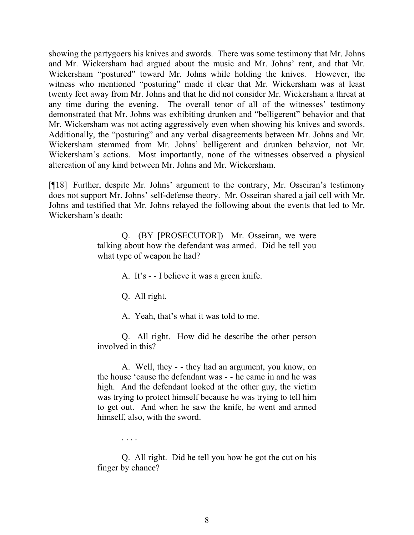showing the partygoers his knives and swords. There was some testimony that Mr. Johns and Mr. Wickersham had argued about the music and Mr. Johns' rent, and that Mr. Wickersham "postured" toward Mr. Johns while holding the knives. However, the witness who mentioned "posturing" made it clear that Mr. Wickersham was at least twenty feet away from Mr. Johns and that he did not consider Mr. Wickersham a threat at any time during the evening. The overall tenor of all of the witnesses' testimony demonstrated that Mr. Johns was exhibiting drunken and "belligerent" behavior and that Mr. Wickersham was not acting aggressively even when showing his knives and swords. Additionally, the "posturing" and any verbal disagreements between Mr. Johns and Mr. Wickersham stemmed from Mr. Johns' belligerent and drunken behavior, not Mr. Wickersham's actions. Most importantly, none of the witnesses observed a physical altercation of any kind between Mr. Johns and Mr. Wickersham.

[¶18] Further, despite Mr. Johns' argument to the contrary, Mr. Osseiran's testimony does not support Mr. Johns' self-defense theory. Mr. Osseiran shared a jail cell with Mr. Johns and testified that Mr. Johns relayed the following about the events that led to Mr. Wickersham's death:

> Q. (BY [PROSECUTOR]) Mr. Osseiran, we were talking about how the defendant was armed. Did he tell you what type of weapon he had?

> > A. It's - - I believe it was a green knife.

Q. All right.

A. Yeah, that's what it was told to me.

Q. All right. How did he describe the other person involved in this?

A. Well, they - - they had an argument, you know, on the house 'cause the defendant was - - he came in and he was high. And the defendant looked at the other guy, the victim was trying to protect himself because he was trying to tell him to get out. And when he saw the knife, he went and armed himself, also, with the sword.

. . . .

Q. All right. Did he tell you how he got the cut on his finger by chance?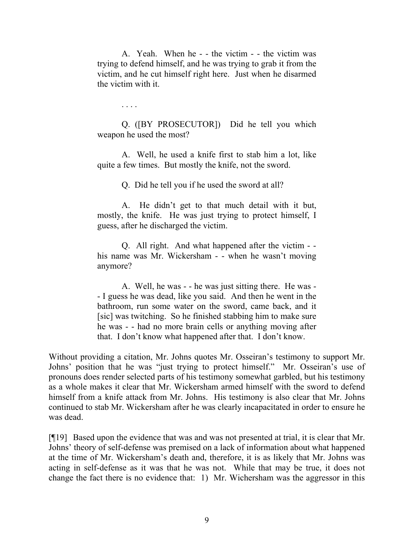A. Yeah. When he - - the victim - - the victim was trying to defend himself, and he was trying to grab it from the victim, and he cut himself right here. Just when he disarmed the victim with it.

. . . .

Q. ([BY PROSECUTOR]) Did he tell you which weapon he used the most?

A. Well, he used a knife first to stab him a lot, like quite a few times. But mostly the knife, not the sword.

Q. Did he tell you if he used the sword at all?

A. He didn't get to that much detail with it but, mostly, the knife. He was just trying to protect himself, I guess, after he discharged the victim.

Q. All right. And what happened after the victim - his name was Mr. Wickersham - - when he wasn't moving anymore?

A. Well, he was - - he was just sitting there. He was - - I guess he was dead, like you said. And then he went in the bathroom, run some water on the sword, came back, and it [sic] was twitching. So he finished stabbing him to make sure he was - - had no more brain cells or anything moving after that. I don't know what happened after that. I don't know.

Without providing a citation, Mr. Johns quotes Mr. Osseiran's testimony to support Mr. Johns' position that he was "just trying to protect himself." Mr. Osseiran's use of pronouns does render selected parts of his testimony somewhat garbled, but his testimony as a whole makes it clear that Mr. Wickersham armed himself with the sword to defend himself from a knife attack from Mr. Johns. His testimony is also clear that Mr. Johns continued to stab Mr. Wickersham after he was clearly incapacitated in order to ensure he was dead.

[¶19] Based upon the evidence that was and was not presented at trial, it is clear that Mr. Johns' theory of self-defense was premised on a lack of information about what happened at the time of Mr. Wickersham's death and, therefore, it is as likely that Mr. Johns was acting in self-defense as it was that he was not. While that may be true, it does not change the fact there is no evidence that: 1) Mr. Wichersham was the aggressor in this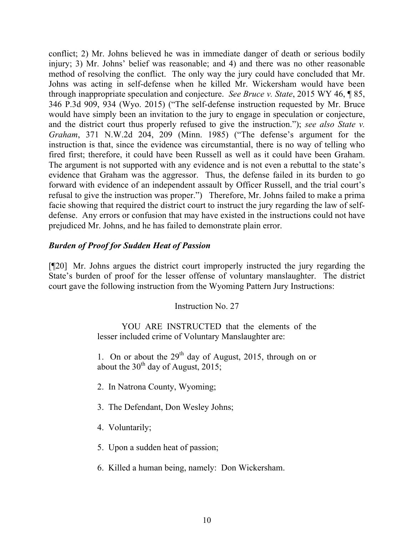conflict; 2) Mr. Johns believed he was in immediate danger of death or serious bodily injury; 3) Mr. Johns' belief was reasonable; and 4) and there was no other reasonable method of resolving the conflict. The only way the jury could have concluded that Mr. Johns was acting in self-defense when he killed Mr. Wickersham would have been through inappropriate speculation and conjecture. *See Bruce v. State*, 2015 WY 46, ¶ 85, 346 P.3d 909, 934 (Wyo. 2015) ("The self-defense instruction requested by Mr. Bruce would have simply been an invitation to the jury to engage in speculation or conjecture, and the district court thus properly refused to give the instruction."); *see also State v. Graham*, 371 N.W.2d 204, 209 (Minn. 1985) ("The defense's argument for the instruction is that, since the evidence was circumstantial, there is no way of telling who fired first; therefore, it could have been Russell as well as it could have been Graham. The argument is not supported with any evidence and is not even a rebuttal to the state's evidence that Graham was the aggressor. Thus, the defense failed in its burden to go forward with evidence of an independent assault by Officer Russell, and the trial court's refusal to give the instruction was proper.") Therefore, Mr. Johns failed to make a prima facie showing that required the district court to instruct the jury regarding the law of selfdefense. Any errors or confusion that may have existed in the instructions could not have prejudiced Mr. Johns, and he has failed to demonstrate plain error.

## *Burden of Proof for Sudden Heat of Passion*

[¶20] Mr. Johns argues the district court improperly instructed the jury regarding the State's burden of proof for the lesser offense of voluntary manslaughter. The district court gave the following instruction from the Wyoming Pattern Jury Instructions:

Instruction No. 27

YOU ARE INSTRUCTED that the elements of the lesser included crime of Voluntary Manslaughter are:

1. On or about the  $29<sup>th</sup>$  day of August, 2015, through on or about the  $30<sup>th</sup>$  day of August, 2015;

- 2. In Natrona County, Wyoming;
- 3. The Defendant, Don Wesley Johns;
- 4. Voluntarily;
- 5. Upon a sudden heat of passion;
- 6. Killed a human being, namely: Don Wickersham.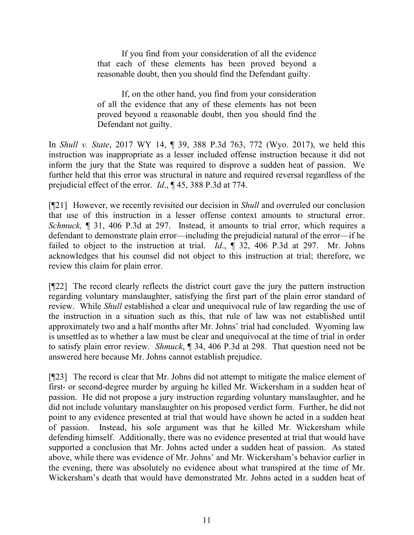If you find from your consideration of all the evidence that each of these elements has been proved beyond a reasonable doubt, then you should find the Defendant guilty.

If, on the other hand, you find from your consideration of all the evidence that any of these elements has not been proved beyond a reasonable doubt, then you should find the Defendant not guilty.

In *Shull v. State*, 2017 WY 14, ¶ 39, 388 P.3d 763, 772 (Wyo. 2017), we held this instruction was inappropriate as a lesser included offense instruction because it did not inform the jury that the State was required to disprove a sudden heat of passion. We further held that this error was structural in nature and required reversal regardless of the prejudicial effect of the error. *Id*., ¶ 45, 388 P.3d at 774.

[¶21] However, we recently revisited our decision in *Shull* and overruled our conclusion that use of this instruction in a lesser offense context amounts to structural error. *Schmuck*, **[** 31, 406 P.3d at 297. Instead, it amounts to trial error, which requires a defendant to demonstrate plain error—including the prejudicial natural of the error—if he failed to object to the instruction at trial. *Id*., ¶ 32, 406 P.3d at 297. Mr. Johns acknowledges that his counsel did not object to this instruction at trial; therefore, we review this claim for plain error.

[¶22] The record clearly reflects the district court gave the jury the pattern instruction regarding voluntary manslaughter, satisfying the first part of the plain error standard of review. While *Shull* established a clear and unequivocal rule of law regarding the use of the instruction in a situation such as this, that rule of law was not established until approximately two and a half months after Mr. Johns' trial had concluded. Wyoming law is unsettled as to whether a law must be clear and unequivocal at the time of trial in order to satisfy plain error review. *Shmuck*, ¶ 34, 406 P.3d at 298. That question need not be answered here because Mr. Johns cannot establish prejudice.

[¶23] The record is clear that Mr. Johns did not attempt to mitigate the malice element of first- or second-degree murder by arguing he killed Mr. Wickersham in a sudden heat of passion. He did not propose a jury instruction regarding voluntary manslaughter, and he did not include voluntary manslaughter on his proposed verdict form. Further, he did not point to any evidence presented at trial that would have shown he acted in a sudden heat of passion. Instead, his sole argument was that he killed Mr. Wickersham while defending himself. Additionally, there was no evidence presented at trial that would have supported a conclusion that Mr. Johns acted under a sudden heat of passion. As stated above, while there was evidence of Mr. Johns' and Mr. Wickersham's behavior earlier in the evening, there was absolutely no evidence about what transpired at the time of Mr. Wickersham's death that would have demonstrated Mr. Johns acted in a sudden heat of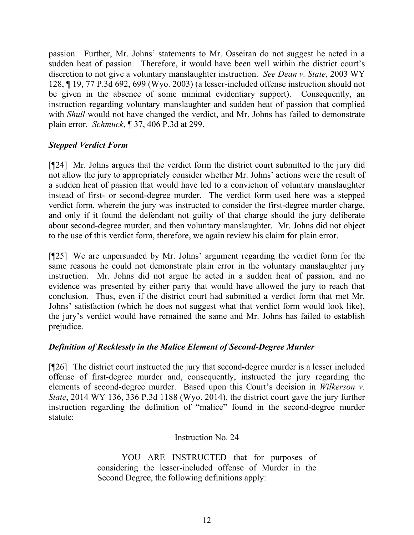passion. Further, Mr. Johns' statements to Mr. Osseiran do not suggest he acted in a sudden heat of passion. Therefore, it would have been well within the district court's discretion to not give a voluntary manslaughter instruction. *See Dean v. State*, 2003 WY 128, ¶ 19, 77 P.3d 692, 699 (Wyo. 2003) (a lesser-included offense instruction should not be given in the absence of some minimal evidentiary support). Consequently, an instruction regarding voluntary manslaughter and sudden heat of passion that complied with *Shull* would not have changed the verdict, and Mr. Johns has failed to demonstrate plain error. *Schmuck*, ¶ 37, 406 P.3d at 299.

# *Stepped Verdict Form*

[¶24] Mr. Johns argues that the verdict form the district court submitted to the jury did not allow the jury to appropriately consider whether Mr. Johns' actions were the result of a sudden heat of passion that would have led to a conviction of voluntary manslaughter instead of first- or second-degree murder. The verdict form used here was a stepped verdict form, wherein the jury was instructed to consider the first-degree murder charge, and only if it found the defendant not guilty of that charge should the jury deliberate about second-degree murder, and then voluntary manslaughter. Mr. Johns did not object to the use of this verdict form, therefore, we again review his claim for plain error.

[¶25] We are unpersuaded by Mr. Johns' argument regarding the verdict form for the same reasons he could not demonstrate plain error in the voluntary manslaughter jury instruction. Mr. Johns did not argue he acted in a sudden heat of passion, and no evidence was presented by either party that would have allowed the jury to reach that conclusion. Thus, even if the district court had submitted a verdict form that met Mr. Johns' satisfaction (which he does not suggest what that verdict form would look like), the jury's verdict would have remained the same and Mr. Johns has failed to establish prejudice.

# *Definition of Recklessly in the Malice Element of Second-Degree Murder*

[¶26] The district court instructed the jury that second-degree murder is a lesser included offense of first-degree murder and, consequently, instructed the jury regarding the elements of second-degree murder. Based upon this Court's decision in *Wilkerson v. State*, 2014 WY 136, 336 P.3d 1188 (Wyo. 2014), the district court gave the jury further instruction regarding the definition of "malice" found in the second-degree murder statute:

# Instruction No. 24

YOU ARE INSTRUCTED that for purposes of considering the lesser-included offense of Murder in the Second Degree, the following definitions apply: